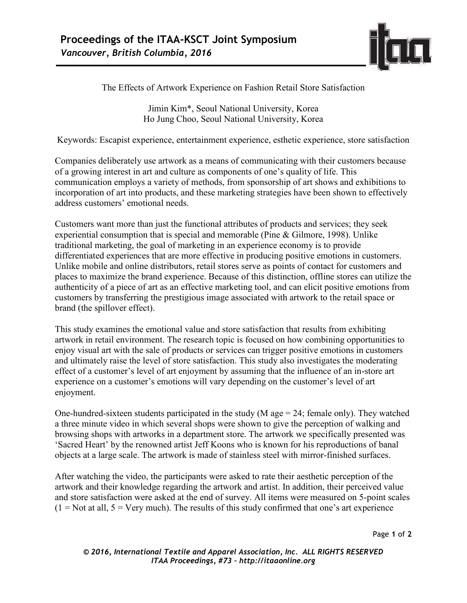

The Effects of Artwork Experience on Fashion Retail Store Satisfaction

Jimin Kim\*, Seoul National University, Korea Ho Jung Choo, Seoul National University, Korea

Keywords: Escapist experience, entertainment experience, esthetic experience, store satisfaction

Companies deliberately use artwork as a means of communicating with their customers because of a growing interest in art and culture as components of one's quality of life. This communication employs a variety of methods, from sponsorship of art shows and exhibitions to incorporation of art into products, and these marketing strategies have been shown to effectively address customers' emotional needs.

Customers want more than just the functional attributes of products and services; they seek experiential consumption that is special and memorable (Pine & Gilmore, 1998). Unlike traditional marketing, the goal of marketing in an experience economy is to provide differentiated experiences that are more effective in producing positive emotions in customers. Unlike mobile and online distributors, retail stores serve as points of contact for customers and places to maximize the brand experience. Because of this distinction, offline stores can utilize the authenticity of a piece of art as an effective marketing tool, and can elicit positive emotions from customers by transferring the prestigious image associated with artwork to the retail space or brand (the spillover effect).

This study examines the emotional value and store satisfaction that results from exhibiting artwork in retail environment. The research topic is focused on how combining opportunities to enjoy visual art with the sale of products or services can trigger positive emotions in customers and ultimately raise the level of store satisfaction. This study also investigates the moderating effect of a customer's level of art enjoyment by assuming that the influence of an in-store art experience on a customer's emotions will vary depending on the customer's level of art enjoyment.

One-hundred-sixteen students participated in the study (M age  $= 24$ ; female only). They watched a three minute video in which several shops were shown to give the perception of walking and browsing shops with artworks in a department store. The artwork we specifically presented was 'Sacred Heart' by the renowned artist Jeff Koons who is known for his reproductions of banal objects at a large scale. The artwork is made of stainless steel with mirror-finished surfaces.

After watching the video, the participants were asked to rate their aesthetic perception of the artwork and their knowledge regarding the artwork and artist. In addition, their perceived value and store satisfaction were asked at the end of survey. All items were measured on 5-point scales  $(1 = Not at all, 5 = Very much)$ . The results of this study confirmed that one's art experience

Page **1** of **2** 

*© 2016, International Textile and Apparel Association, Inc. ALL RIGHTS RESERVED ITAA Proceedings, #73 – http://itaaonline.org*